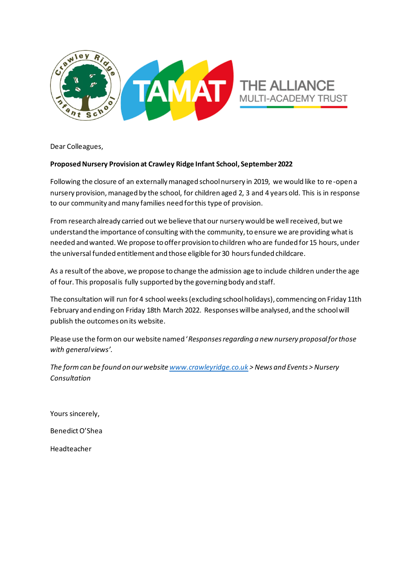

Dear Colleagues,

#### **Proposed Nursery Provision at Crawley Ridge Infant School, September 2022**

Following the closure of an externally managed school nursery in 2019, we would like to re -open a nursery provision, managed by the school, for children aged 2, 3 and 4 years old. This is in response to our community and many families need for this type of provision.

From research already carried out we believe that our nursery would be well received, but we understand the importance of consulting with the community, to ensure we are providing what is needed and wanted. We propose to offer provision to children who are funded for 15 hours, under the universal funded entitlement and those eligible for 30 hours funded childcare.

As a result of the above, we propose to change the admission age to include children under the age of four. This proposal is fully supported by the governing body and staff.

The consultation will run for 4 school weeks (excluding school holidays), commencing on Friday 11th February and ending on Friday 18th March 2022. Responses will be analysed, and the school will publish the outcomes on its website.

Please use the form on our website named '*Responses regarding a new nursery proposal for those with general views'.* 

*The formcan be found on our website www.crawleyridge.co.uk > News and Events > Nursery Consultation*

Yours sincerely, Benedict O'Shea

Headteacher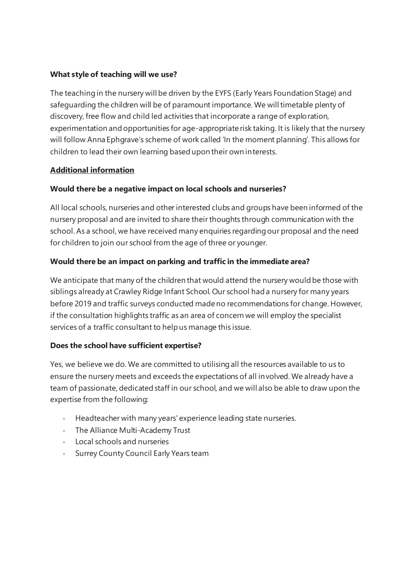### **What style of teaching will we use?**

The teaching in the nursery will be driven by the EYFS (Early Years Foundation Stage) and safeguarding the children will be of paramount importance. We will timetable plenty of discovery, free flow and child led activities that incorporate a range of exploration, experimentation and opportunities for age-appropriate risk taking. It is likely that the nursery will follow Anna Ephgrave's scheme of work called 'In the moment planning'. This allows for children to lead their own learning based upon their own interests.

### **Additional information**

# **Would there be a negative impact on local schools and nurseries?**

All local schools, nurseries and other interested clubs and groups have been informed of the nursery proposal and are invited to share their thoughts through communication with the school. As a school, we have received many enquiries regarding our proposal and the need for children to join our school from the age of three or younger.

# **Would there be an impact on parking and traffic in the immediate area?**

We anticipate that many of the children that would attend the nursery would be those with siblings already at Crawley Ridge Infant School. Our school had a nursery for many years before 2019 and traffic surveys conducted made no recommendations for change. However, if the consultation highlights traffic as an area of concern we will employ the specialist services of a traffic consultant to help us manage this issue.

### **Does the school have sufficient expertise?**

Yes, we believe we do. We are committed to utilising all the resources available to us to ensure the nursery meets and exceeds the expectations of all involved. We already have a team of passionate, dedicated staff in our school, and we will also be able to draw upon the expertise from the following:

- Headteacher with many years' experience leading state nurseries.
- The Alliance Multi-Academy Trust
- Local schools and nurseries
- Surrey County Council Early Years team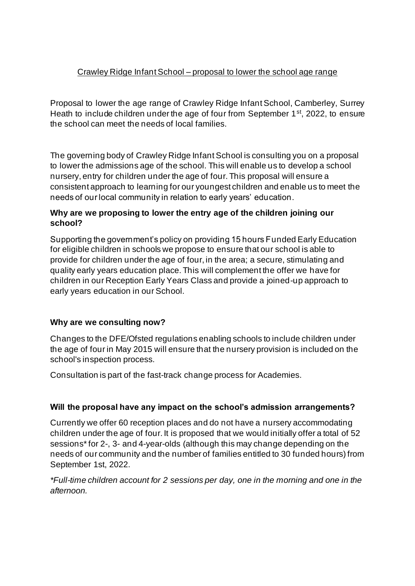# Crawley Ridge Infant School – proposal to lower the school age range

Proposal to lower the age range of Crawley Ridge Infant School, Camberley, Surrey Heath to include children under the age of four from September 1<sup>st</sup>, 2022, to ensure the school can meet the needs of local families.

The governing body of Crawley Ridge Infant School is consulting you on a proposal to lower the admissions age of the school. This will enable us to develop a school nursery, entry for children under the age of four. This proposal will ensure a consistent approach to learning for our youngest children and enable us to meet the needs of our local community in relation to early years' education.

# **Why are we proposing to lower the entry age of the children joining our school?**

Supporting the government's policy on providing 15 hours Funded Early Education for eligible children in schools we propose to ensure that our school is able to provide for children under the age of four, in the area; a secure, stimulating and quality early years education place. This will complement the offer we have for children in our Reception Early Years Class and provide a joined-up approach to early years education in our School.

# **Why are we consulting now?**

Changes to the DFE/Ofsted regulations enabling schools to include children under the age of four in May 2015 will ensure that the nursery provision is included on the school's inspection process.

Consultation is part of the fast-track change process for Academies.

# **Will the proposal have any impact on the school's admission arrangements?**

Currently we offer 60 reception places and do not have a nursery accommodating children under the age of four. It is proposed that we would initially offer a total of 52 sessions\* for 2-, 3- and 4-year-olds (although this may change depending on the needs of our community and the number of families entitled to 30 funded hours) from September 1st, 2022.

*\*Full-time children account for 2 sessions per day, one in the morning and one in the afternoon.*